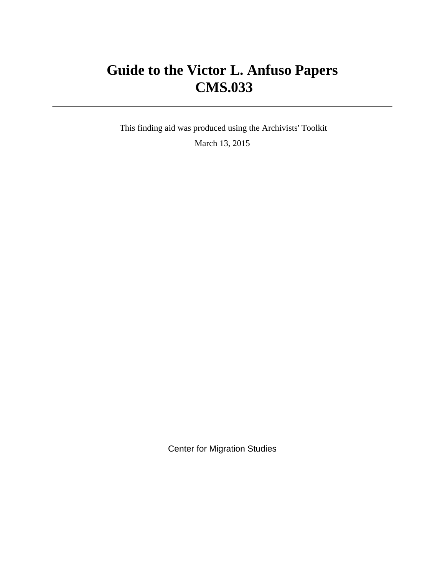# **Guide to the Victor L. Anfuso Papers CMS.033**

 This finding aid was produced using the Archivists' Toolkit March 13, 2015

Center for Migration Studies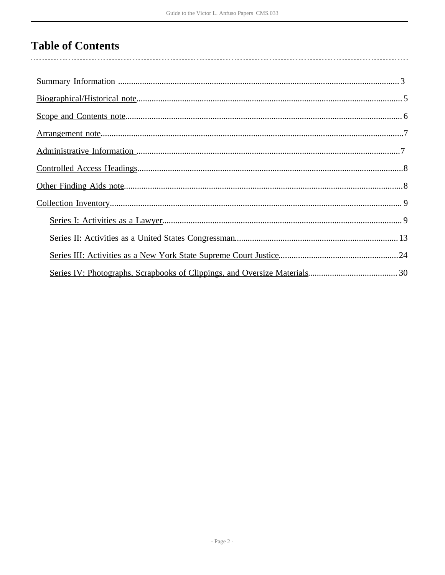# **Table of Contents**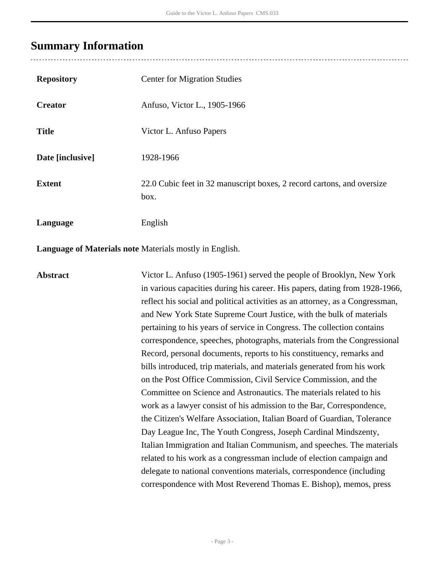## <span id="page-2-0"></span>**Summary Information**

| <b>Repository</b> | <b>Center for Migration Studies</b>                                            |
|-------------------|--------------------------------------------------------------------------------|
| <b>Creator</b>    | Anfuso, Victor L., 1905-1966                                                   |
| <b>Title</b>      | Victor L. Anfuso Papers                                                        |
| Date [inclusive]  | 1928-1966                                                                      |
| <b>Extent</b>     | 22.0 Cubic feet in 32 manuscript boxes, 2 record cartons, and oversize<br>box. |
| Language          | English                                                                        |

**Language of Materials note** Materials mostly in English.

**Abstract** Victor L. Anfuso (1905-1961) served the people of Brooklyn, New York in various capacities during his career. His papers, dating from 1928-1966, reflect his social and political activities as an attorney, as a Congressman, and New York State Supreme Court Justice, with the bulk of materials pertaining to his years of service in Congress. The collection contains correspondence, speeches, photographs, materials from the Congressional Record, personal documents, reports to his constituency, remarks and bills introduced, trip materials, and materials generated from his work on the Post Office Commission, Civil Service Commission, and the Committee on Science and Astronautics. The materials related to his work as a lawyer consist of his admission to the Bar, Correspondence, the Citizen's Welfare Association, Italian Board of Guardian, Tolerance Day League Inc, The Youth Congress, Joseph Cardinal Mindszenty, Italian Immigration and Italian Communism, and speeches. The materials related to his work as a congressman include of election campaign and delegate to national conventions materials, correspondence (including correspondence with Most Reverend Thomas E. Bishop), memos, press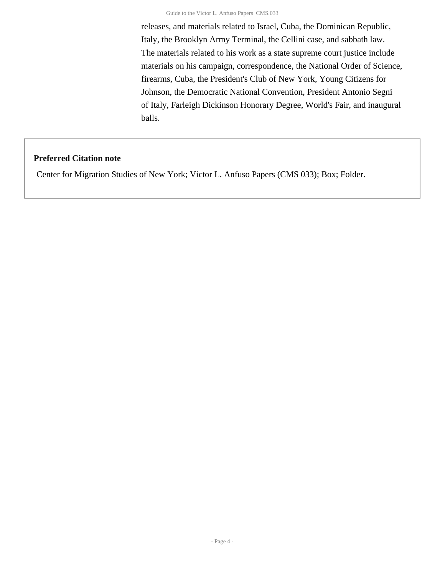releases, and materials related to Israel, Cuba, the Dominican Republic, Italy, the Brooklyn Army Terminal, the Cellini case, and sabbath law. The materials related to his work as a state supreme court justice include materials on his campaign, correspondence, the National Order of Science, firearms, Cuba, the President's Club of New York, Young Citizens for Johnson, the Democratic National Convention, President Antonio Segni of Italy, Farleigh Dickinson Honorary Degree, World's Fair, and inaugural balls.

### **Preferred Citation note**

Center for Migration Studies of New York; Victor L. Anfuso Papers (CMS 033); Box; Folder.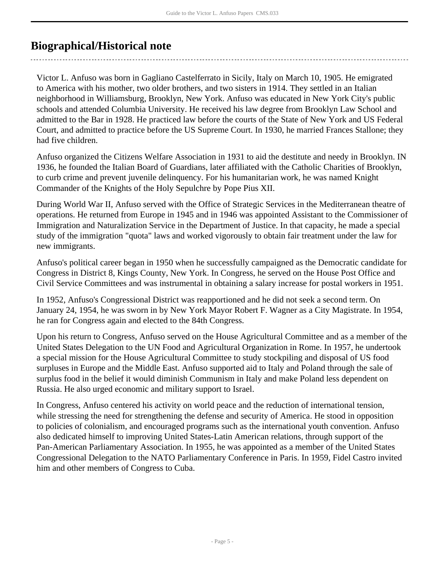## <span id="page-4-0"></span>**Biographical/Historical note**

Victor L. Anfuso was born in Gagliano Castelferrato in Sicily, Italy on March 10, 1905. He emigrated to America with his mother, two older brothers, and two sisters in 1914. They settled in an Italian neighborhood in Williamsburg, Brooklyn, New York. Anfuso was educated in New York City's public schools and attended Columbia University. He received his law degree from Brooklyn Law School and admitted to the Bar in 1928. He practiced law before the courts of the State of New York and US Federal Court, and admitted to practice before the US Supreme Court. In 1930, he married Frances Stallone; they had five children.

Anfuso organized the Citizens Welfare Association in 1931 to aid the destitute and needy in Brooklyn. IN 1936, he founded the Italian Board of Guardians, later affiliated with the Catholic Charities of Brooklyn, to curb crime and prevent juvenile delinquency. For his humanitarian work, he was named Knight Commander of the Knights of the Holy Sepulchre by Pope Pius XII.

During World War II, Anfuso served with the Office of Strategic Services in the Mediterranean theatre of operations. He returned from Europe in 1945 and in 1946 was appointed Assistant to the Commissioner of Immigration and Naturalization Service in the Department of Justice. In that capacity, he made a special study of the immigration "quota" laws and worked vigorously to obtain fair treatment under the law for new immigrants.

Anfuso's political career began in 1950 when he successfully campaigned as the Democratic candidate for Congress in District 8, Kings County, New York. In Congress, he served on the House Post Office and Civil Service Committees and was instrumental in obtaining a salary increase for postal workers in 1951.

In 1952, Anfuso's Congressional District was reapportioned and he did not seek a second term. On January 24, 1954, he was sworn in by New York Mayor Robert F. Wagner as a City Magistrate. In 1954, he ran for Congress again and elected to the 84th Congress.

Upon his return to Congress, Anfuso served on the House Agricultural Committee and as a member of the United States Delegation to the UN Food and Agricultural Organization in Rome. In 1957, he undertook a special mission for the House Agricultural Committee to study stockpiling and disposal of US food surpluses in Europe and the Middle East. Anfuso supported aid to Italy and Poland through the sale of surplus food in the belief it would diminish Communism in Italy and make Poland less dependent on Russia. He also urged economic and military support to Israel.

In Congress, Anfuso centered his activity on world peace and the reduction of international tension, while stressing the need for strengthening the defense and security of America. He stood in opposition to policies of colonialism, and encouraged programs such as the international youth convention. Anfuso also dedicated himself to improving United States-Latin American relations, through support of the Pan-American Parliamentary Association. In 1955, he was appointed as a member of the United States Congressional Delegation to the NATO Parliamentary Conference in Paris. In 1959, Fidel Castro invited him and other members of Congress to Cuba.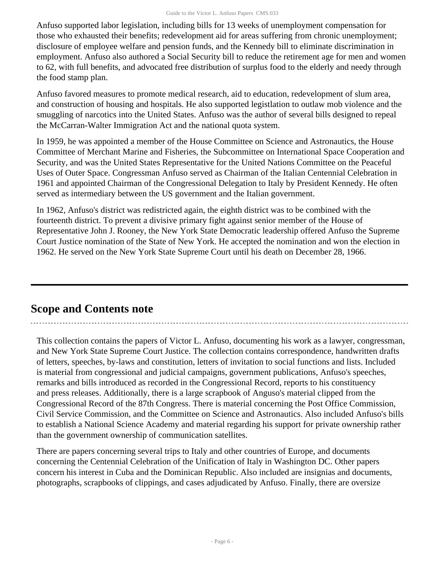Anfuso supported labor legislation, including bills for 13 weeks of unemployment compensation for those who exhausted their benefits; redevelopment aid for areas suffering from chronic unemployment; disclosure of employee welfare and pension funds, and the Kennedy bill to eliminate discrimination in employment. Anfuso also authored a Social Security bill to reduce the retirement age for men and women to 62, with full benefits, and advocated free distribution of surplus food to the elderly and needy through the food stamp plan.

Anfuso favored measures to promote medical research, aid to education, redevelopment of slum area, and construction of housing and hospitals. He also supported legistlation to outlaw mob violence and the smuggling of narcotics into the United States. Anfuso was the author of several bills designed to repeal the McCarran-Walter Immigration Act and the national quota system.

In 1959, he was appointed a member of the House Committee on Science and Astronautics, the House Committee of Merchant Marine and Fisheries, the Subcommittee on International Space Cooperation and Security, and was the United States Representative for the United Nations Committee on the Peaceful Uses of Outer Space. Congressman Anfuso served as Chairman of the Italian Centennial Celebration in 1961 and appointed Chairman of the Congressional Delegation to Italy by President Kennedy. He often served as intermediary between the US government and the Italian government.

In 1962, Anfuso's district was redistricted again, the eighth district was to be combined with the fourteenth district. To prevent a divisive primary fight against senior member of the House of Representative John J. Rooney, the New York State Democratic leadership offered Anfuso the Supreme Court Justice nomination of the State of New York. He accepted the nomination and won the election in 1962. He served on the New York State Supreme Court until his death on December 28, 1966.

## <span id="page-5-0"></span>**Scope and Contents note**

This collection contains the papers of Victor L. Anfuso, documenting his work as a lawyer, congressman, and New York State Supreme Court Justice. The collection contains correspondence, handwritten drafts of letters, speeches, by-laws and constitution, letters of invitation to social functions and lists. Included is material from congressional and judicial campaigns, government publications, Anfuso's speeches, remarks and bills introduced as recorded in the Congressional Record, reports to his constituency and press releases. Additionally, there is a large scrapbook of Anguso's material clipped from the Congressional Record of the 87th Congress. There is material concerning the Post Office Commission, Civil Service Commission, and the Committee on Science and Astronautics. Also included Anfuso's bills to establish a National Science Academy and material regarding his support for private ownership rather than the government ownership of communication satellites.

There are papers concerning several trips to Italy and other countries of Europe, and documents concerning the Centennial Celebration of the Unification of Italy in Washington DC. Other papers concern his interest in Cuba and the Dominican Republic. Also included are insignias and documents, photographs, scrapbooks of clippings, and cases adjudicated by Anfuso. Finally, there are oversize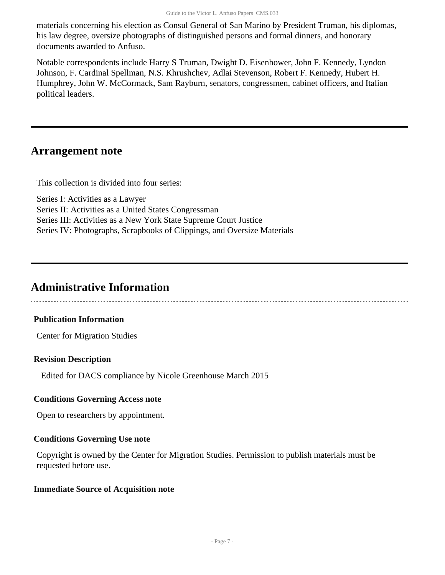materials concerning his election as Consul General of San Marino by President Truman, his diplomas, his law degree, oversize photographs of distinguished persons and formal dinners, and honorary documents awarded to Anfuso.

Notable correspondents include Harry S Truman, Dwight D. Eisenhower, John F. Kennedy, Lyndon Johnson, F. Cardinal Spellman, N.S. Khrushchev, Adlai Stevenson, Robert F. Kennedy, Hubert H. Humphrey, John W. McCormack, Sam Rayburn, senators, congressmen, cabinet officers, and Italian political leaders.

## <span id="page-6-0"></span>**Arrangement note**

---------------------

This collection is divided into four series:

Series I: Activities as a Lawyer Series II: Activities as a United States Congressman Series III: Activities as a New York State Supreme Court Justice Series IV: Photographs, Scrapbooks of Clippings, and Oversize Materials

## <span id="page-6-1"></span>**Administrative Information**

## **Publication Information**

Center for Migration Studies

## **Revision Description**

Edited for DACS compliance by Nicole Greenhouse March 2015

## **Conditions Governing Access note**

Open to researchers by appointment.

## **Conditions Governing Use note**

Copyright is owned by the Center for Migration Studies. Permission to publish materials must be requested before use.

## **Immediate Source of Acquisition note**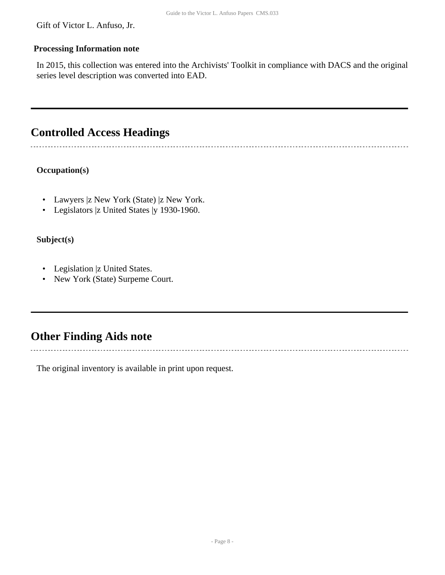Gift of Victor L. Anfuso, Jr.

### **Processing Information note**

In 2015, this collection was entered into the Archivists' Toolkit in compliance with DACS and the original series level description was converted into EAD.

## <span id="page-7-0"></span>**Controlled Access Headings**

 $\overline{a}$ 

## **Occupation(s)**

- Lawyers |z New York (State) |z New York.
- Legislators |z United States |y 1930-1960.

## **Subject(s)**

- Legislation |z United States.
- New York (State) Surpeme Court.

## <span id="page-7-1"></span>**Other Finding Aids note**

The original inventory is available in print upon request.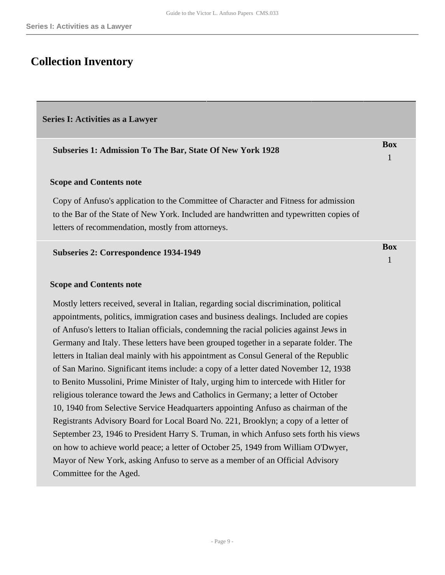## <span id="page-8-0"></span>**Collection Inventory**

#### <span id="page-8-1"></span>**Series I: Activities as a Lawyer**

#### **Subseries 1: Admission To The Bar, State Of New York 1928**

#### **Scope and Contents note**

Copy of Anfuso's application to the Committee of Character and Fitness for admission to the Bar of the State of New York. Included are handwritten and typewritten copies of letters of recommendation, mostly from attorneys.

#### **Subseries 2: Correspondence 1934-1949**

#### **Scope and Contents note**

Mostly letters received, several in Italian, regarding social discrimination, political appointments, politics, immigration cases and business dealings. Included are copies of Anfuso's letters to Italian officials, condemning the racial policies against Jews in Germany and Italy. These letters have been grouped together in a separate folder. The letters in Italian deal mainly with his appointment as Consul General of the Republic of San Marino. Significant items include: a copy of a letter dated November 12, 1938 to Benito Mussolini, Prime Minister of Italy, urging him to intercede with Hitler for religious tolerance toward the Jews and Catholics in Germany; a letter of October 10, 1940 from Selective Service Headquarters appointing Anfuso as chairman of the Registrants Advisory Board for Local Board No. 221, Brooklyn; a copy of a letter of September 23, 1946 to President Harry S. Truman, in which Anfuso sets forth his views on how to achieve world peace; a letter of October 25, 1949 from William O'Dwyer, Mayor of New York, asking Anfuso to serve as a member of an Official Advisory Committee for the Aged.

**Box** 1

**Box** 1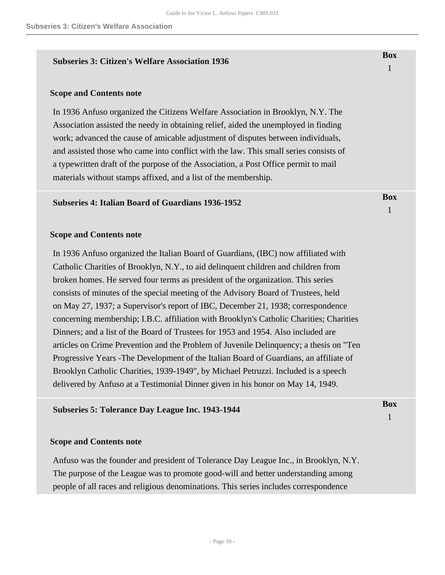#### **Subseries 3: Citizen's Welfare Association 1936**

#### **Scope and Contents note**

In 1936 Anfuso organized the Citizens Welfare Association in Brooklyn, N.Y. The Association assisted the needy in obtaining relief, aided the unemployed in finding work; advanced the cause of amicable adjustment of disputes between individuals, and assisted those who came into conflict with the law. This small series consists of a typewritten draft of the purpose of the Association, a Post Office permit to mail materials without stamps affixed, and a list of the membership.

#### **Subseries 4: Italian Board of Guardians 1936-1952**

#### **Scope and Contents note**

In 1936 Anfuso organized the Italian Board of Guardians, (IBC) now affiliated with Catholic Charities of Brooklyn, N.Y., to aid delinquent children and children from broken homes. He served four terms as president of the organization. This series consists of minutes of the special meeting of the Advisory Board of Trustees, held on May 27, 1937; a Supervisor's report of IBC, December 21, 1938; correspondence concerning membership; I.B.C. affiliation with Brooklyn's Catholic Charities; Charities Dinners; and a list of the Board of Trustees for 1953 and 1954. Also included are articles on Crime Prevention and the Problem of Juvenile Delinquency; a thesis on "Ten Progressive Years -The Development of the Italian Board of Guardians, an affiliate of Brooklyn Catholic Charities, 1939-1949", by Michael Petruzzi. Included is a speech delivered by Anfuso at a Testimonial Dinner given in his honor on May 14, 1949.

#### **Subseries 5: Tolerance Day League Inc. 1943-1944**

#### **Scope and Contents note**

Anfuso was the founder and president of Tolerance Day League Inc., in Brooklyn, N.Y. The purpose of the League was to promote good-will and better understanding among people of all races and religious denominations. This series includes correspondence

**Box** 1

**Box** 1

**Box**

1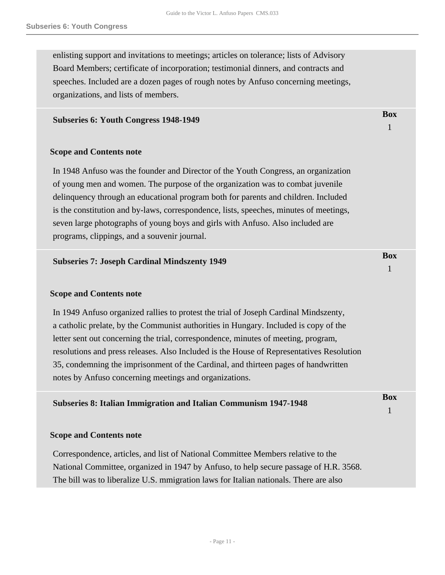enlisting support and invitations to meetings; articles on tolerance; lists of Advisory Board Members; certificate of incorporation; testimonial dinners, and contracts and speeches. Included are a dozen pages of rough notes by Anfuso concerning meetings, organizations, and lists of members.

#### **Subseries 6: Youth Congress 1948-1949**

### **Scope and Contents note**

In 1948 Anfuso was the founder and Director of the Youth Congress, an organization of young men and women. The purpose of the organization was to combat juvenile delinquency through an educational program both for parents and children. Included is the constitution and by-laws, correspondence, lists, speeches, minutes of meetings, seven large photographs of young boys and girls with Anfuso. Also included are programs, clippings, and a souvenir journal.

| <b>Subseries 7: Joseph Cardinal Mindszenty 1949</b>                                                                                                                                                                                                                                                                                                                                                                                                                                                            | <b>Box</b> |
|----------------------------------------------------------------------------------------------------------------------------------------------------------------------------------------------------------------------------------------------------------------------------------------------------------------------------------------------------------------------------------------------------------------------------------------------------------------------------------------------------------------|------------|
| <b>Scope and Contents note</b>                                                                                                                                                                                                                                                                                                                                                                                                                                                                                 |            |
| In 1949 Anfuso organized rallies to protest the trial of Joseph Cardinal Mindszenty,<br>a catholic prelate, by the Communist authorities in Hungary. Included is copy of the<br>letter sent out concerning the trial, correspondence, minutes of meeting, program,<br>resolutions and press releases. Also Included is the House of Representatives Resolution<br>35, condemning the imprisonment of the Cardinal, and thirteen pages of handwritten<br>notes by Anfuso concerning meetings and organizations. |            |
| <b>Subseries 8: Italian Immigration and Italian Communism 1947-1948</b>                                                                                                                                                                                                                                                                                                                                                                                                                                        | <b>Box</b> |
| <b>Scope and Contents note</b>                                                                                                                                                                                                                                                                                                                                                                                                                                                                                 |            |
| Correspondence, articles, and list of National Committee Members relative to the<br>National Committee, organized in 1947 by Anfuso, to help secure passage of H.R. 3568.<br>The bill was to liberalize U.S. mmigration laws for Italian nationals. There are also                                                                                                                                                                                                                                             |            |
|                                                                                                                                                                                                                                                                                                                                                                                                                                                                                                                |            |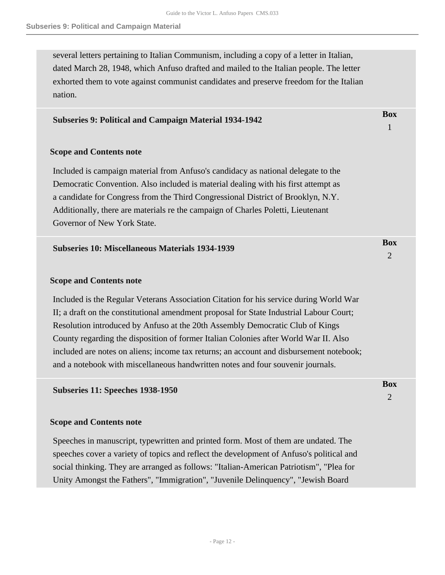several letters pertaining to Italian Communism, including a copy of a letter in Italian, dated March 28, 1948, which Anfuso drafted and mailed to the Italian people. The letter exhorted them to vote against communist candidates and preserve freedom for the Italian nation.

### **Subseries 9: Political and Campaign Material 1934-1942**

#### **Scope and Contents note**

Included is campaign material from Anfuso's candidacy as national delegate to the Democratic Convention. Also included is material dealing with his first attempt as a candidate for Congress from the Third Congressional District of Brooklyn, N.Y. Additionally, there are materials re the campaign of Charles Poletti, Lieutenant Governor of New York State.

#### **Subseries 10: Miscellaneous Materials 1934-1939**

#### **Scope and Contents note**

Included is the Regular Veterans Association Citation for his service during World War II; a draft on the constitutional amendment proposal for State Industrial Labour Court; Resolution introduced by Anfuso at the 20th Assembly Democratic Club of Kings County regarding the disposition of former Italian Colonies after World War II. Also included are notes on aliens; income tax returns; an account and disbursement notebook; and a notebook with miscellaneous handwritten notes and four souvenir journals.

#### **Subseries 11: Speeches 1938-1950**

#### **Scope and Contents note**

Speeches in manuscript, typewritten and printed form. Most of them are undated. The speeches cover a variety of topics and reflect the development of Anfuso's political and social thinking. They are arranged as follows: "Italian-American Patriotism", "Plea for Unity Amongst the Fathers", "Immigration", "Juvenile Delinquency", "Jewish Board

**Box**

1

**Box** 2

**Box**  $\mathcal{D}_{\alpha}$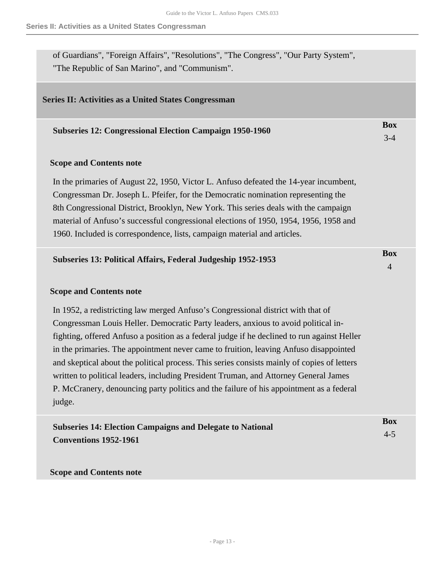of Guardians", "Foreign Affairs", "Resolutions", "The Congress", "Our Party System", "The Republic of San Marino", and "Communism".

#### <span id="page-12-0"></span>**Series II: Activities as a United States Congressman**

| <b>Subseries 12: Congressional Election Campaign 1950-1960</b> | DUA |
|----------------------------------------------------------------|-----|
|                                                                |     |

 $\mathbf{D}_{\alpha}$ 

#### **Scope and Contents note**

In the primaries of August 22, 1950, Victor L. Anfuso defeated the 14-year incumbent, Congressman Dr. Joseph L. Pfeifer, for the Democratic nomination representing the 8th Congressional District, Brooklyn, New York. This series deals with the campaign material of Anfuso's successful congressional elections of 1950, 1954, 1956, 1958 and 1960. Included is correspondence, lists, campaign material and articles.

| Subseries 13: Political Affairs, Federal Judgeship 1952-1953 | Box |
|--------------------------------------------------------------|-----|
|                                                              |     |

#### **Scope and Contents note**

In 1952, a redistricting law merged Anfuso's Congressional district with that of Congressman Louis Heller. Democratic Party leaders, anxious to avoid political infighting, offered Anfuso a position as a federal judge if he declined to run against Heller in the primaries. The appointment never came to fruition, leaving Anfuso disappointed and skeptical about the political process. This series consists mainly of copies of letters written to political leaders, including President Truman, and Attorney General James P. McCranery, denouncing party politics and the failure of his appointment as a federal judge.

| <b>Subseries 14: Election Campaigns and Delegate to National</b> | Box     |
|------------------------------------------------------------------|---------|
| <b>Conventions 1952-1961</b>                                     | $4 - 5$ |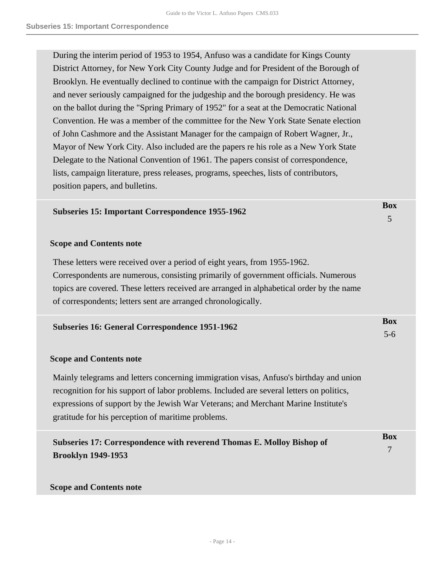During the interim period of 1953 to 1954, Anfuso was a candidate for Kings County District Attorney, for New York City County Judge and for President of the Borough of Brooklyn. He eventually declined to continue with the campaign for District Attorney, and never seriously campaigned for the judgeship and the borough presidency. He was on the ballot during the "Spring Primary of 1952" for a seat at the Democratic National Convention. He was a member of the committee for the New York State Senate election of John Cashmore and the Assistant Manager for the campaign of Robert Wagner, Jr., Mayor of New York City. Also included are the papers re his role as a New York State Delegate to the National Convention of 1961. The papers consist of correspondence, lists, campaign literature, press releases, programs, speeches, lists of contributors, position papers, and bulletins.

| <b>Subseries 15: Important Correspondence 1955-1962</b> | DUX |
|---------------------------------------------------------|-----|
|                                                         |     |

 $\mathbf{D}$ 

#### **Scope and Contents note**

These letters were received over a period of eight years, from 1955-1962. Correspondents are numerous, consisting primarily of government officials. Numerous topics are covered. These letters received are arranged in alphabetical order by the name of correspondents; letters sent are arranged chronologically.

| Subseries 16: General Correspondence 1951-1962 | <b>Box</b> |
|------------------------------------------------|------------|
|                                                |            |

#### **Scope and Contents note**

Mainly telegrams and letters concerning immigration visas, Anfuso's birthday and union recognition for his support of labor problems. Included are several letters on politics, expressions of support by the Jewish War Veterans; and Merchant Marine Institute's gratitude for his perception of maritime problems.

| Subseries 17: Correspondence with reverend Thomas E. Molloy Bishop of | <b>Box</b> |
|-----------------------------------------------------------------------|------------|
| <b>Brooklyn 1949-1953</b>                                             |            |
|                                                                       |            |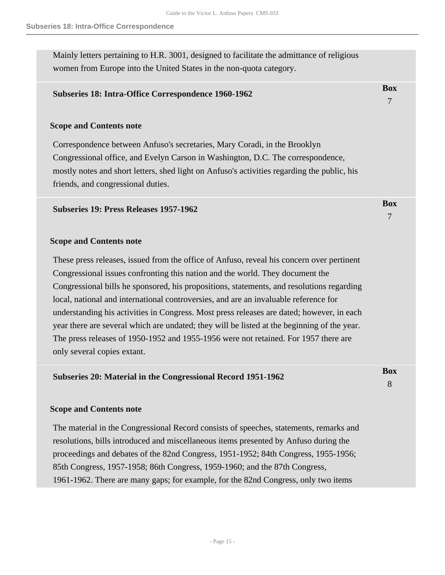**Box** 7

**B** 

Mainly letters pertaining to H.R. 3001, designed to facilitate the admittance of religious women from Europe into the United States in the non-quota category.

### **Subseries 18: Intra-Office Correspondence 1960-1962**

#### **Scope and Contents note**

Correspondence between Anfuso's secretaries, Mary Coradi, in the Brooklyn Congressional office, and Evelyn Carson in Washington, D.C. The correspondence, mostly notes and short letters, shed light on Anfuso's activities regarding the public, his friends, and congressional duties.

#### **Subseries 19: Press Releases 1957-1962**

#### **Scope and Contents note**

These press releases, issued from the office of Anfuso, reveal his concern over pertinent Congressional issues confronting this nation and the world. They document the Congressional bills he sponsored, his propositions, statements, and resolutions regarding local, national and international controversies, and are an invaluable reference for understanding his activities in Congress. Most press releases are dated; however, in each year there are several which are undated; they will be listed at the beginning of the year. The press releases of 1950-1952 and 1955-1956 were not retained. For 1957 there are only several copies extant.

| Subseries 20: Material in the Congressional Record 1951-1962 | DOX |
|--------------------------------------------------------------|-----|
|                                                              |     |

#### **Scope and Contents note**

The material in the Congressional Record consists of speeches, statements, remarks and resolutions, bills introduced and miscellaneous items presented by Anfuso during the proceedings and debates of the 82nd Congress, 1951-1952; 84th Congress, 1955-1956; 85th Congress, 1957-1958; 86th Congress, 1959-1960; and the 87th Congress, 1961-1962. There are many gaps; for example, for the 82nd Congress, only two items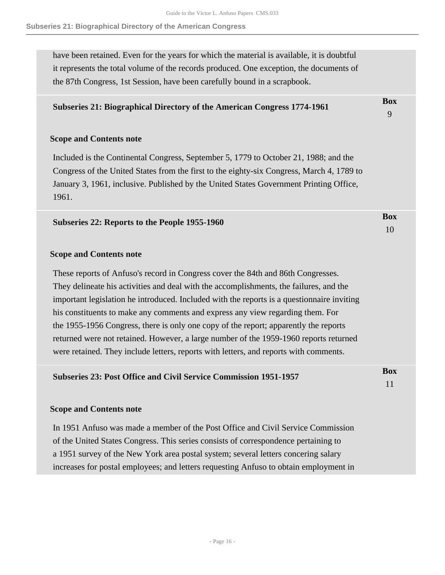**Box** 10

#### **Subseries 21: Biographical Directory of the American Congress**

have been retained. Even for the years for which the material is available, it is doubtful it represents the total volume of the records produced. One exception, the documents of the 87th Congress, 1st Session, have been carefully bound in a scrapbook.

### **Subseries 21: Biographical Directory of the American Congress 1774-1961**

#### **Scope and Contents note**

Included is the Continental Congress, September 5, 1779 to October 21, 1988; and the Congress of the United States from the first to the eighty-six Congress, March 4, 1789 to January 3, 1961, inclusive. Published by the United States Government Printing Office, 1961.

#### **Scope and Contents note**

These reports of Anfuso's record in Congress cover the 84th and 86th Congresses. They delineate his activities and deal with the accomplishments, the failures, and the important legislation he introduced. Included with the reports is a questionnaire inviting his constituents to make any comments and express any view regarding them. For the 1955-1956 Congress, there is only one copy of the report; apparently the reports returned were not retained. However, a large number of the 1959-1960 reports returned were retained. They include letters, reports with letters, and reports with comments.

| <b>Subseries 23: Post Office and Civil Service Commission 1951-1957</b> | Box |
|-------------------------------------------------------------------------|-----|
|                                                                         |     |
|                                                                         |     |

#### **Scope and Contents note**

In 1951 Anfuso was made a member of the Post Office and Civil Service Commission of the United States Congress. This series consists of correspondence pertaining to a 1951 survey of the New York area postal system; several letters concering salary increases for postal employees; and letters requesting Anfuso to obtain employment in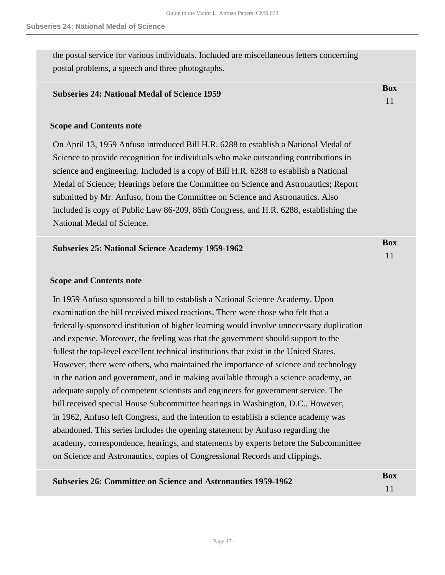the postal service for various individuals. Included are miscellaneous letters concerning postal problems, a speech and three photographs.

#### **Subseries 24: National Medal of Science 1959**

#### **Scope and Contents note**

On April 13, 1959 Anfuso introduced Bill H.R. 6288 to establish a National Medal of Science to provide recognition for individuals who make outstanding contributions in science and engineering. Included is a copy of Bill H.R. 6288 to establish a National Medal of Science; Hearings before the Committee on Science and Astronautics; Report submitted by Mr. Anfuso, from the Committee on Science and Astronautics. Also included is copy of Public Law 86-209, 86th Congress, and H.R. 6288, establishing the National Medal of Science.

| <b>Subseries 25: National Science Academy 1959-1962</b> | Box |
|---------------------------------------------------------|-----|
|                                                         |     |

#### **Scope and Contents note**

In 1959 Anfuso sponsored a bill to establish a National Science Academy. Upon examination the bill received mixed reactions. There were those who felt that a federally-sponsored institution of higher learning would involve unnecessary duplication and expense. Moreover, the feeling was that the government should support to the fullest the top-level excellent technical institutions that exist in the United States. However, there were others, who maintained the importance of science and technology in the nation and government, and in making available through a science academy, an adequate supply of competent scientists and engineers for government service. The bill received special House Subcommittee hearings in Washington, D.C.. However, in 1962, Anfuso left Congress, and the intention to establish a science academy was abandoned. This series includes the opening statement by Anfuso regarding the academy, correspondence, hearings, and statements by experts before the Subcommittee on Science and Astronautics, copies of Congressional Records and clippings.

| <b>Subseries 26: Committee on Science and Astronautics 1959-1962</b> | Box |
|----------------------------------------------------------------------|-----|
|                                                                      |     |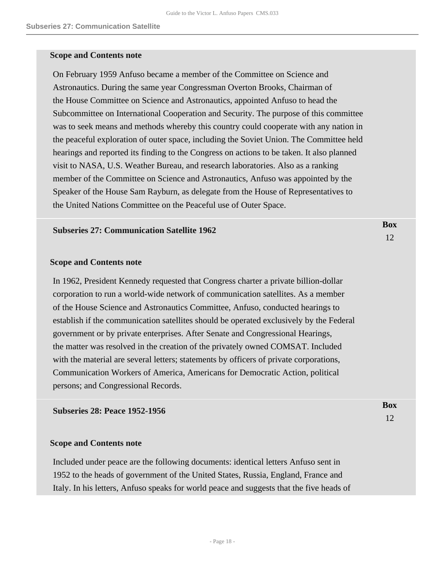#### **Scope and Contents note**

On February 1959 Anfuso became a member of the Committee on Science and Astronautics. During the same year Congressman Overton Brooks, Chairman of the House Committee on Science and Astronautics, appointed Anfuso to head the Subcommittee on International Cooperation and Security. The purpose of this committee was to seek means and methods whereby this country could cooperate with any nation in the peaceful exploration of outer space, including the Soviet Union. The Committee held hearings and reported its finding to the Congress on actions to be taken. It also planned visit to NASA, U.S. Weather Bureau, and research laboratories. Also as a ranking member of the Committee on Science and Astronautics, Anfuso was appointed by the Speaker of the House Sam Rayburn, as delegate from the House of Representatives to the United Nations Committee on the Peaceful use of Outer Space.

> **Box** 12

> **Box** 12

#### **Subseries 27: Communication Satellite 1962**

#### **Scope and Contents note**

In 1962, President Kennedy requested that Congress charter a private billion-dollar corporation to run a world-wide network of communication satellites. As a member of the House Science and Astronautics Committee, Anfuso, conducted hearings to establish if the communication satellites should be operated exclusively by the Federal government or by private enterprises. After Senate and Congressional Hearings, the matter was resolved in the creation of the privately owned COMSAT. Included with the material are several letters; statements by officers of private corporations, Communication Workers of America, Americans for Democratic Action, political persons; and Congressional Records.

#### **Subseries 28: Peace 1952-1956**

#### **Scope and Contents note**

Included under peace are the following documents: identical letters Anfuso sent in 1952 to the heads of government of the United States, Russia, England, France and Italy. In his letters, Anfuso speaks for world peace and suggests that the five heads of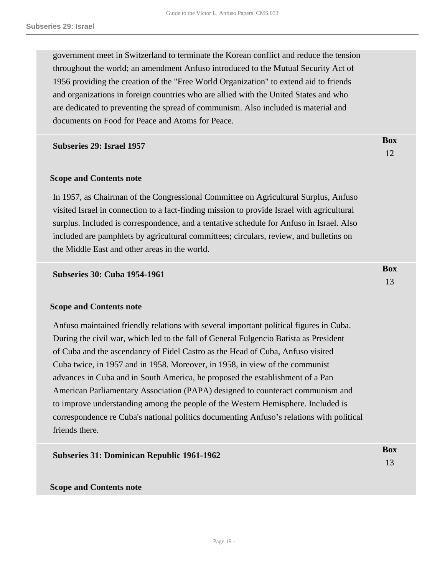government meet in Switzerland to terminate the Korean conflict and reduce the tension throughout the world; an amendment Anfuso introduced to the Mutual Security Act of 1956 providing the creation of the "Free World Organization" to extend aid to friends and organizations in foreign countries who are allied with the United States and who are dedicated to preventing the spread of communism. Also included is material and documents on Food for Peace and Atoms for Peace.

> **Box** 12

> **Box** 13

#### **Subseries 29: Israel 1957**

#### **Scope and Contents note**

In 1957, as Chairman of the Congressional Committee on Agricultural Surplus, Anfuso visited Israel in connection to a fact-finding mission to provide Israel with agricultural surplus. Included is correspondence, and a tentative schedule for Anfuso in Israel. Also included are pamphlets by agricultural committees; circulars, review, and bulletins on the Middle East and other areas in the world.

**Subseries 30: Cuba 1954-1961** 

#### **Scope and Contents note**

Anfuso maintained friendly relations with several important political figures in Cuba. During the civil war, which led to the fall of General Fulgencio Batista as President of Cuba and the ascendancy of Fidel Castro as the Head of Cuba, Anfuso visited Cuba twice, in 1957 and in 1958. Moreover, in 1958, in view of the communist advances in Cuba and in South America, he proposed the establishment of a Pan American Parliamentary Association (PAPA) designed to counteract communism and to improve understanding among the people of the Western Hemisphere. Included is correspondence re Cuba's national politics documenting Anfuso's relations with political friends there.

| <b>Subseries 31: Dominican Republic 1961-1962</b> | <b>Box</b> |
|---------------------------------------------------|------------|
|                                                   |            |
|                                                   |            |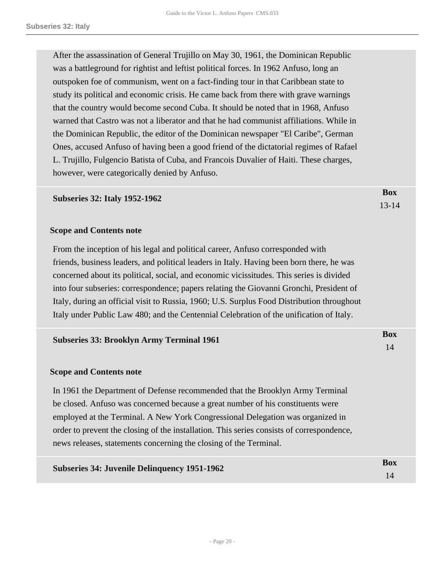After the assassination of General Trujillo on May 30, 1961, the Dominican Republic was a battleground for rightist and leftist political forces. In 1962 Anfuso, long an outspoken foe of communism, went on a fact-finding tour in that Caribbean state to study its political and economic crisis. He came back from there with grave warnings that the country would become second Cuba. It should be noted that in 1968, Anfuso warned that Castro was not a liberator and that he had communist affiliations. While in the Dominican Republic, the editor of the Dominican newspaper "El Caribe", German Ones, accused Anfuso of having been a good friend of the dictatorial regimes of Rafael L. Trujillo, Fulgencio Batista of Cuba, and Francois Duvalier of Haiti. These charges, however, were categorically denied by Anfuso.

#### **Subseries 32: Italy 1952-1962**

**Box** 13-14

> **Box** 14

#### **Scope and Contents note**

From the inception of his legal and political career, Anfuso corresponded with friends, business leaders, and political leaders in Italy. Having been born there, he was concerned about its political, social, and economic vicissitudes. This series is divided into four subseries: correspondence; papers relating the Giovanni Gronchi, President of Italy, during an official visit to Russia, 1960; U.S. Surplus Food Distribution throughout Italy under Public Law 480; and the Centennial Celebration of the unification of Italy.

#### **Subseries 33: Brooklyn Army Terminal 1961**

#### **Scope and Contents note**

In 1961 the Department of Defense recommended that the Brooklyn Army Terminal be closed. Anfuso was concerned because a great number of his constituents were employed at the Terminal. A New York Congressional Delegation was organized in order to prevent the closing of the installation. This series consists of correspondence, news releases, statements concerning the closing of the Terminal.

| <b>Subseries 34: Juvenile Delinquency 1951-1962</b> | Box |
|-----------------------------------------------------|-----|
|                                                     |     |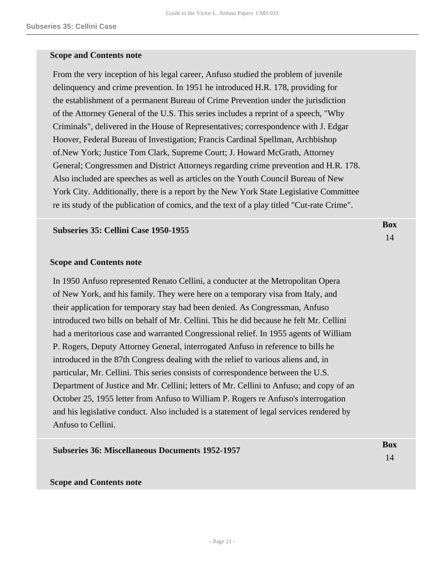#### **Scope and Contents note**

From the very inception of his legal career, Anfuso studied the problem of juvenile delinquency and crime prevention. In 1951 he introduced H.R. 178, providing for the establishment of a permanent Bureau of Crime Prevention under the jurisdiction of the Attorney General of the U.S. This series includes a reprint of a speech, "Why Criminals", delivered in the House of Representatives; correspondence with J. Edgar Hoover, Federal Bureau of Investigation; Francis Cardinal Spellman, Archbishop of.New York; Justice Tom Clark, Supreme Court; J. Howard McGrath, Attorney General; Congressmen and District Attorneys regarding crime prevention and H.R. 178. Also included are speeches as well as articles on the Youth Council Bureau of New York City. Additionally, there is a report by the New York State Legislative Committee re its study of the publication of comics, and the text of a play titled "Cut-rate Crime".

> **Box** 14

#### **Subseries 35: Cellini Case 1950-1955**

#### **Scope and Contents note**

In 1950 Anfuso represented Renato Cellini, a conducter at the Metropolitan Opera of New York, and his family. They were here on a temporary visa from Italy, and their application for temporary stay had been denied. As Congressman, Anfuso introduced two bills on behalf of Mr. Cellini. This he did because he felt Mr. Cellini had a meritorious case and warranted Congressional relief. In 1955 agents of William P. Rogers, Deputy Attorney General, interrogated Anfuso in reference to bills he introduced in the 87th Congress dealing with the relief to various aliens and, in particular, Mr. Cellini. This series consists of correspondence between the U.S. Department of Justice and Mr. Cellini; letters of Mr. Cellini to Anfuso; and copy of an October 25, 1955 letter from Anfuso to William P. Rogers re Anfuso's interrogation and his legislative conduct. Also included is a statement of legal services rendered by Anfuso to Cellini.

| <b>Subseries 36: Miscellaneous Documents 1952-1957</b> | <b>Box</b> |
|--------------------------------------------------------|------------|
|                                                        | 14         |
|                                                        |            |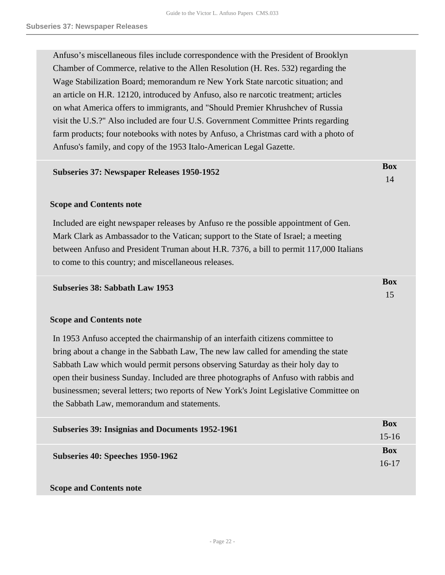Anfuso's miscellaneous files include correspondence with the President of Brooklyn Chamber of Commerce, relative to the Allen Resolution (H. Res. 532) regarding the Wage Stabilization Board; memorandum re New York State narcotic situation; and an article on H.R. 12120, introduced by Anfuso, also re narcotic treatment; articles on what America offers to immigrants, and "Should Premier Khrushchev of Russia visit the U.S.?" Also included are four U.S. Government Committee Prints regarding farm products; four notebooks with notes by Anfuso, a Christmas card with a photo of Anfuso's family, and copy of the 1953 Italo-American Legal Gazette.

> **Box** 14

> **Box** 15

#### **Subseries 37: Newspaper Releases 1950-1952**

#### **Scope and Contents note**

Included are eight newspaper releases by Anfuso re the possible appointment of Gen. Mark Clark as Ambassador to the Vatican; support to the State of Israel; a meeting between Anfuso and President Truman about H.R. 7376, a bill to permit 117,000 Italians to come to this country; and miscellaneous releases.

#### **Subseries 38: Sabbath Law 1953**

#### **Scope and Contents note**

In 1953 Anfuso accepted the chairmanship of an interfaith citizens committee to bring about a change in the Sabbath Law, The new law called for amending the state Sabbath Law which would permit persons observing Saturday as their holy day to open their business Sunday. Included are three photographs of Anfuso with rabbis and businessmen; several letters; two reports of New York's Joint Legislative Committee on the Sabbath Law, memorandum and statements.

| <b>Subseries 39: Insignias and Documents 1952-1961</b> | <b>Box</b> |
|--------------------------------------------------------|------------|
|                                                        | $15 - 16$  |
| Subseries 40: Speeches 1950-1962                       | <b>Box</b> |
|                                                        | $16-17$    |
|                                                        |            |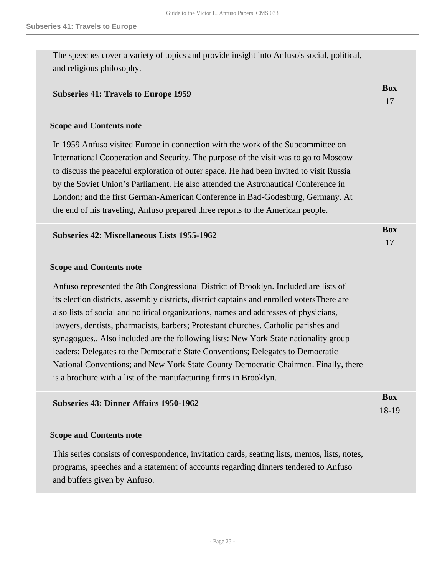**Box** 17

The speeches cover a variety of topics and provide insight into Anfuso's social, political, and religious philosophy.

#### **Subseries 41: Travels to Europe 1959**

#### **Scope and Contents note**

In 1959 Anfuso visited Europe in connection with the work of the Subcommittee on International Cooperation and Security. The purpose of the visit was to go to Moscow to discuss the peaceful exploration of outer space. He had been invited to visit Russia by the Soviet Union's Parliament. He also attended the Astronautical Conference in London; and the first German-American Conference in Bad-Godesburg, Germany. At the end of his traveling, Anfuso prepared three reports to the American people.

#### **Subseries 42: Miscellaneous Lists 1955-1962**

#### **Scope and Contents note**

Anfuso represented the 8th Congressional District of Brooklyn. Included are lists of its election districts, assembly districts, district captains and enrolled votersThere are also lists of social and political organizations, names and addresses of physicians, lawyers, dentists, pharmacists, barbers; Protestant churches. Catholic parishes and synagogues.. Also included are the following lists: New York State nationality group leaders; Delegates to the Democratic State Conventions; Delegates to Democratic National Conventions; and New York State County Democratic Chairmen. Finally, there is a brochure with a list of the manufacturing firms in Brooklyn.

| <b>Subseries 43: Dinner Affairs 1950-1962</b> | <b>Box</b> |
|-----------------------------------------------|------------|
|                                               | $18-19$    |

#### **Scope and Contents note**

This series consists of correspondence, invitation cards, seating lists, memos, lists, notes, programs, speeches and a statement of accounts regarding dinners tendered to Anfuso and buffets given by Anfuso.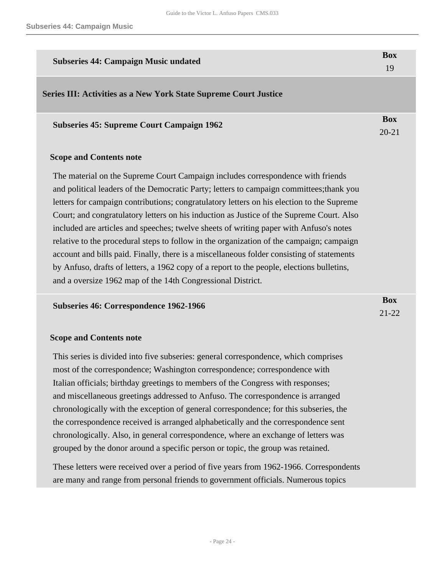<span id="page-23-0"></span>

| <b>Subseries 44: Campaign Music undated</b>                                               | <b>Box</b> |
|-------------------------------------------------------------------------------------------|------------|
|                                                                                           | 19         |
| <b>Series III: Activities as a New York State Supreme Court Justice</b>                   |            |
| <b>Subseries 45: Supreme Court Campaign 1962</b>                                          | <b>Box</b> |
|                                                                                           | $20 - 21$  |
| <b>Scope and Contents note</b>                                                            |            |
| The material on the Supreme Court Campaign includes correspondence with friends           |            |
| and political leaders of the Democratic Party; letters to campaign committees; thank you  |            |
| letters for campaign contributions; congratulatory letters on his election to the Supreme |            |
| Court; and congratulatory letters on his induction as Justice of the Supreme Court. Also  |            |
| included are articles and speeches; twelve sheets of writing paper with Anfuso's notes    |            |
| relative to the procedural steps to follow in the organization of the campaign; campaign  |            |

account and bills paid. Finally, there is a miscellaneous folder consisting of statements by Anfuso, drafts of letters, a 1962 copy of a report to the people, elections bulletins, and a oversize 1962 map of the 14th Congressional District.

| <b>Subseries 46: Correspondence 1962-1966</b> | Box       |
|-----------------------------------------------|-----------|
|                                               | $21 - 22$ |

#### **Scope and Contents note**

This series is divided into five subseries: general correspondence, which comprises most of the correspondence; Washington correspondence; correspondence with Italian officials; birthday greetings to members of the Congress with responses; and miscellaneous greetings addressed to Anfuso. The correspondence is arranged chronologically with the exception of general correspondence; for this subseries, the the correspondence received is arranged alphabetically and the correspondence sent chronologically. Also, in general correspondence, where an exchange of letters was grouped by the donor around a specific person or topic, the group was retained.

These letters were received over a period of five years from 1962-1966. Correspondents are many and range from personal friends to government officials. Numerous topics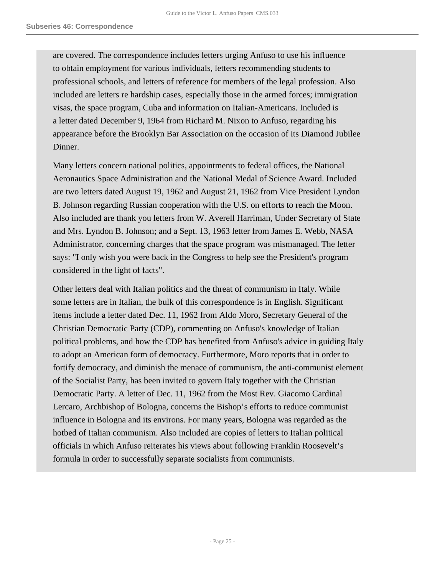are covered. The correspondence includes letters urging Anfuso to use his influence to obtain employment for various individuals, letters recommending students to professional schools, and letters of reference for members of the legal profession. Also included are letters re hardship cases, especially those in the armed forces; immigration visas, the space program, Cuba and information on Italian-Americans. Included is a letter dated December 9, 1964 from Richard M. Nixon to Anfuso, regarding his appearance before the Brooklyn Bar Association on the occasion of its Diamond Jubilee Dinner.

Many letters concern national politics, appointments to federal offices, the National Aeronautics Space Administration and the National Medal of Science Award. Included are two letters dated August 19, 1962 and August 21, 1962 from Vice President Lyndon B. Johnson regarding Russian cooperation with the U.S. on efforts to reach the Moon. Also included are thank you letters from W. Averell Harriman, Under Secretary of State and Mrs. Lyndon B. Johnson; and a Sept. 13, 1963 letter from James E. Webb, NASA Administrator, concerning charges that the space program was mismanaged. The letter says: "I only wish you were back in the Congress to help see the President's program considered in the light of facts".

Other letters deal with Italian politics and the threat of communism in Italy. While some letters are in Italian, the bulk of this correspondence is in English. Significant items include a letter dated Dec. 11, 1962 from Aldo Moro, Secretary General of the Christian Democratic Party (CDP), commenting on Anfuso's knowledge of Italian political problems, and how the CDP has benefited from Anfuso's advice in guiding Italy to adopt an American form of democracy. Furthermore, Moro reports that in order to fortify democracy, and diminish the menace of communism, the anti-communist element of the Socialist Party, has been invited to govern Italy together with the Christian Democratic Party. A letter of Dec. 11, 1962 from the Most Rev. Giacomo Cardinal Lercaro, Archbishop of Bologna, concerns the Bishop's efforts to reduce communist influence in Bologna and its environs. For many years, Bologna was regarded as the hotbed of Italian communism. Also included are copies of letters to Italian political officials in which Anfuso reiterates his views about following Franklin Roosevelt's formula in order to successfully separate socialists from communists.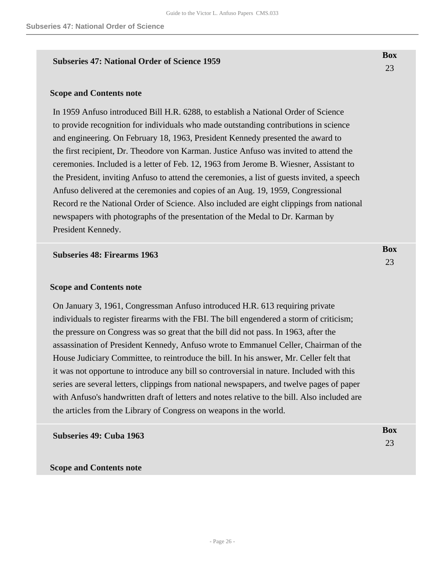#### **Subseries 47: National Order of Science 1959**

#### **Scope and Contents note**

In 1959 Anfuso introduced Bill H.R. 6288, to establish a National Order of Science to provide recognition for individuals who made outstanding contributions in science and engineering. On February 18, 1963, President Kennedy presented the award to the first recipient, Dr. Theodore von Karman. Justice Anfuso was invited to attend the ceremonies. Included is a letter of Feb. 12, 1963 from Jerome B. Wiesner, Assistant to the President, inviting Anfuso to attend the ceremonies, a list of guests invited, a speech Anfuso delivered at the ceremonies and copies of an Aug. 19, 1959, Congressional Record re the National Order of Science. Also included are eight clippings from national newspapers with photographs of the presentation of the Medal to Dr. Karman by President Kennedy.

#### **Subseries 48: Firearms 1963**

#### **Scope and Contents note**

On January 3, 1961, Congressman Anfuso introduced H.R. 613 requiring private individuals to register firearms with the FBI. The bill engendered a storm of criticism; the pressure on Congress was so great that the bill did not pass. In 1963, after the assassination of President Kennedy, Anfuso wrote to Emmanuel Celler, Chairman of the House Judiciary Committee, to reintroduce the bill. In his answer, Mr. Celler felt that it was not opportune to introduce any bill so controversial in nature. Included with this series are several letters, clippings from national newspapers, and twelve pages of paper with Anfuso's handwritten draft of letters and notes relative to the bill. Also included are the articles from the Library of Congress on weapons in the world.

**Subseries 49: Cuba 1963** 

**Scope and Contents note**

**Box** 23

**Box** 23

**Box** 23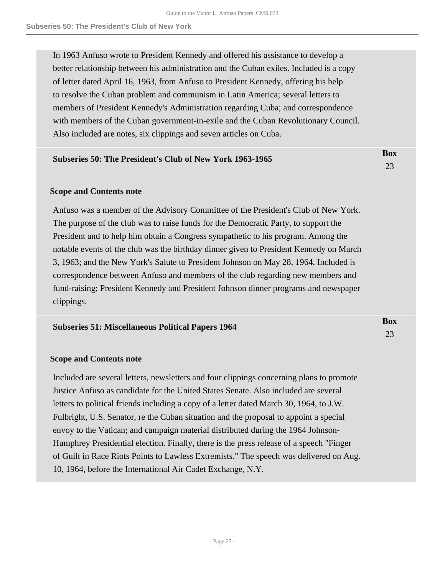In 1963 Anfuso wrote to President Kennedy and offered his assistance to develop a better relationship between his administration and the Cuban exiles. Included is a copy of letter dated April 16, 1963, from Anfuso to President Kennedy, offering his help to resolve the Cuban problem and communism in Latin America; several letters to members of President Kennedy's Administration regarding Cuba; and correspondence with members of the Cuban government-in-exile and the Cuban Revolutionary Council. Also included are notes, six clippings and seven articles on Cuba.

> **Box** 23

**Box** 23

#### **Subseries 50: The President's Club of New York 1963-1965**

#### **Scope and Contents note**

Anfuso was a member of the Advisory Committee of the President's Club of New York. The purpose of the club was to raise funds for the Democratic Party, to support the President and to help him obtain a Congress sympathetic to his program. Among the notable events of the club was the birthday dinner given to President Kennedy on March 3, 1963; and the New York's Salute to President Johnson on May 28, 1964. Included is correspondence between Anfuso and members of the club regarding new members and fund-raising; President Kennedy and President Johnson dinner programs and newspaper clippings.

#### **Scope and Contents note**

Included are several letters, newsletters and four clippings concerning plans to promote Justice Anfuso as candidate for the United States Senate. Also included are several letters to political friends including a copy of a letter dated March 30, 1964, to J.W. Fulbright, U.S. Senator, re the Cuban situation and the proposal to appoint a special envoy to the Vatican; and campaign material distributed during the 1964 Johnson-Humphrey Presidential election. Finally, there is the press release of a speech "Finger of Guilt in Race Riots Points to Lawless Extremists." The speech was delivered on Aug. 10, 1964, before the International Air Cadet Exchange, N.Y.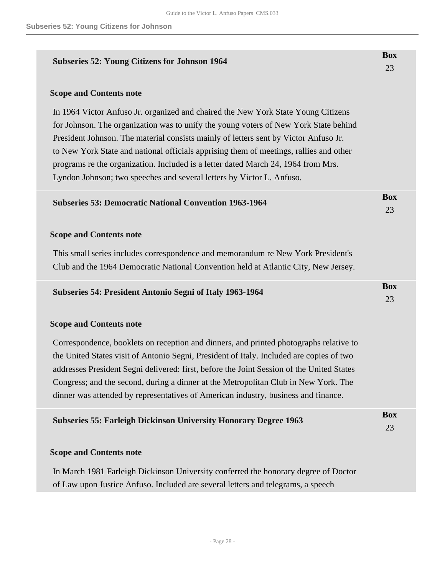| <b>Subseries 52: Young Citizens for Johnson 1964</b>                                                                                                                                                                                                                                                                                                                                                                                                                                                                      | <b>Box</b><br>23 |
|---------------------------------------------------------------------------------------------------------------------------------------------------------------------------------------------------------------------------------------------------------------------------------------------------------------------------------------------------------------------------------------------------------------------------------------------------------------------------------------------------------------------------|------------------|
| <b>Scope and Contents note</b>                                                                                                                                                                                                                                                                                                                                                                                                                                                                                            |                  |
| In 1964 Victor Anfuso Jr. organized and chaired the New York State Young Citizens<br>for Johnson. The organization was to unify the young voters of New York State behind<br>President Johnson. The material consists mainly of letters sent by Victor Anfuso Jr.<br>to New York State and national officials apprising them of meetings, rallies and other<br>programs re the organization. Included is a letter dated March 24, 1964 from Mrs.<br>Lyndon Johnson; two speeches and several letters by Victor L. Anfuso. |                  |
| <b>Subseries 53: Democratic National Convention 1963-1964</b>                                                                                                                                                                                                                                                                                                                                                                                                                                                             | <b>Box</b><br>23 |
| <b>Scope and Contents note</b>                                                                                                                                                                                                                                                                                                                                                                                                                                                                                            |                  |
| This small series includes correspondence and memorandum re New York President's<br>Club and the 1964 Democratic National Convention held at Atlantic City, New Jersey.                                                                                                                                                                                                                                                                                                                                                   |                  |
| <b>Subseries 54: President Antonio Segni of Italy 1963-1964</b>                                                                                                                                                                                                                                                                                                                                                                                                                                                           | <b>Box</b><br>23 |
| <b>Scope and Contents note</b>                                                                                                                                                                                                                                                                                                                                                                                                                                                                                            |                  |
| Correspondence, booklets on reception and dinners, and printed photographs relative to<br>the United States visit of Antonio Segni, President of Italy. Included are copies of two<br>addresses President Segni delivered: first, before the Joint Session of the United States<br>Congress; and the second, during a dinner at the Metropolitan Club in New York. The<br>dinner was attended by representatives of American industry, business and finance.                                                              |                  |
| <b>Subseries 55: Farleigh Dickinson University Honorary Degree 1963</b>                                                                                                                                                                                                                                                                                                                                                                                                                                                   | <b>Box</b><br>23 |
| <b>Scope and Contents note</b>                                                                                                                                                                                                                                                                                                                                                                                                                                                                                            |                  |
| In March 1981 Farleigh Dickinson University conferred the honorary degree of Doctor<br>of Law upon Justice Anfuso. Included are several letters and telegrams, a speech                                                                                                                                                                                                                                                                                                                                                   |                  |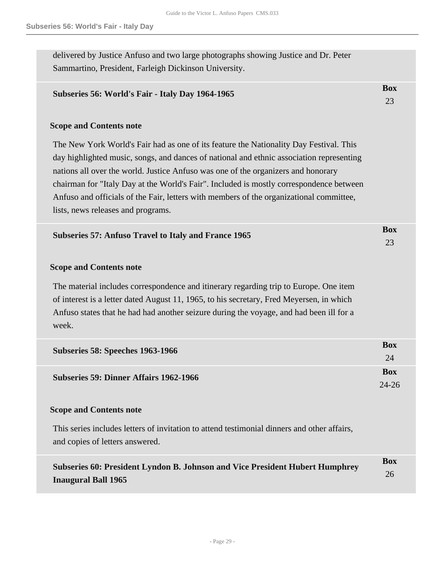delivered by Justice Anfuso and two large photographs showing Justice and Dr. Peter Sammartino, President, Farleigh Dickinson University.

| Subseries 56: World's Fair - Italy Day 1964-1965 | Box |
|--------------------------------------------------|-----|
|                                                  |     |

#### **Scope and Contents note**

The New York World's Fair had as one of its feature the Nationality Day Festival. This day highlighted music, songs, and dances of national and ethnic association representing nations all over the world. Justice Anfuso was one of the organizers and honorary chairman for "Italy Day at the World's Fair". Included is mostly correspondence between Anfuso and officials of the Fair, letters with members of the organizational committee, lists, news releases and programs.

| Subseries 57: Anfuso Travel to Italy and France 1965 | Box |
|------------------------------------------------------|-----|
|                                                      |     |

#### **Scope and Contents note**

The material includes correspondence and itinerary regarding trip to Europe. One item of interest is a letter dated August 11, 1965, to his secretary, Fred Meyersen, in which Anfuso states that he had had another seizure during the voyage, and had been ill for a week.

| Subseries 58: Speeches 1963-1966              | <b>Box</b>          |
|-----------------------------------------------|---------------------|
| <b>Subseries 59: Dinner Affairs 1962-1966</b> | <b>Box</b><br>24-26 |

#### **Scope and Contents note**

This series includes letters of invitation to attend testimonial dinners and other affairs, and copies of letters answered.

| Subseries 60: President Lyndon B. Johnson and Vice President Hubert Humphrey | <b>Box</b> |
|------------------------------------------------------------------------------|------------|
|                                                                              | 26         |
| <b>Inaugural Ball 1965</b>                                                   |            |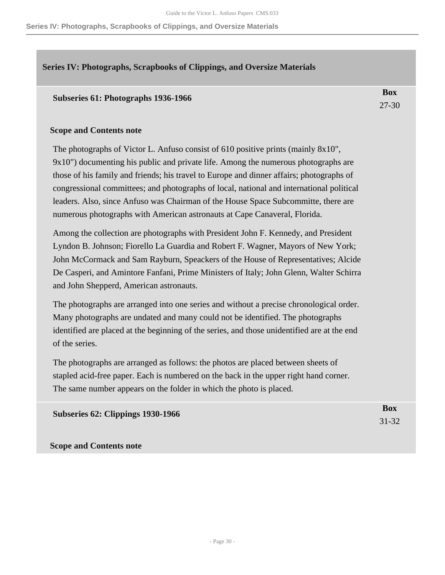**Series IV: Photographs, Scrapbooks of Clippings, and Oversize Materials**

### <span id="page-29-0"></span>**Series IV: Photographs, Scrapbooks of Clippings, and Oversize Materials**

#### **Subseries 61: Photographs 1936-1966**

**Box** 27-30

### **Scope and Contents note**

The photographs of Victor L. Anfuso consist of 610 positive prints (mainly 8x10", 9x10") documenting his public and private life. Among the numerous photographs are those of his family and friends; his travel to Europe and dinner affairs; photographs of congressional committees; and photographs of local, national and international political leaders. Also, since Anfuso was Chairman of the House Space Subcommitte, there are numerous photographs with American astronauts at Cape Canaveral, Florida.

Among the collection are photographs with President John F. Kennedy, and President Lyndon B. Johnson; Fiorello La Guardia and Robert F. Wagner, Mayors of New York; John McCormack and Sam Rayburn, Speackers of the House of Representatives; Alcide De Casperi, and Amintore Fanfani, Prime Ministers of Italy; John Glenn, Walter Schirra and John Shepperd, American astronauts.

The photographs are arranged into one series and without a precise chronological order. Many photographs are undated and many could not be identified. The photographs identified are placed at the beginning of the series, and those unidentified are at the end of the series.

The photographs are arranged as follows: the photos are placed between sheets of stapled acid-free paper. Each is numbered on the back in the upper right hand corner. The same number appears on the folder in which the photo is placed.

**Subseries 62: Clippings 1930-1966** 

**Box** 31-32